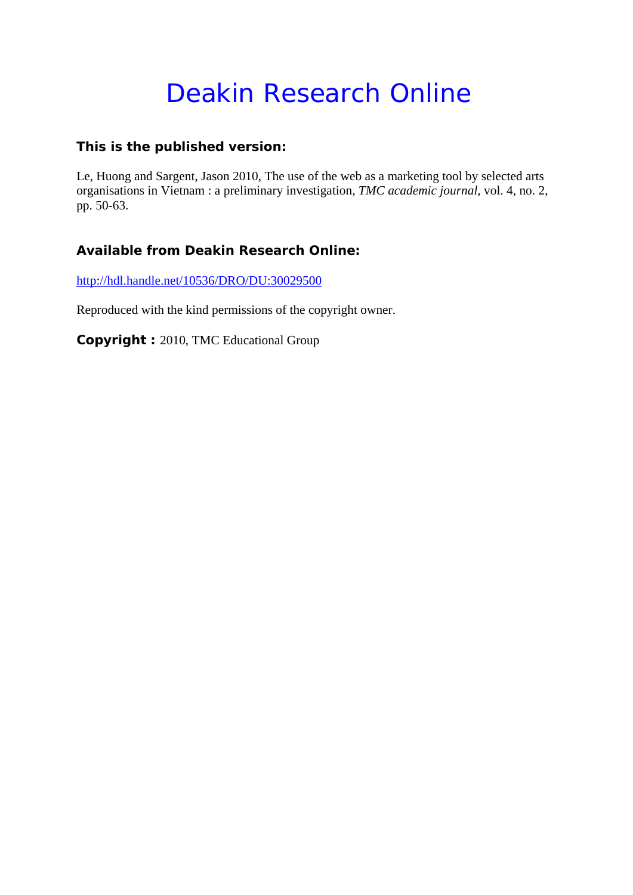# Deakin Research Online

# **This is the published version:**

Le, Huong and Sargent, Jason 2010, The use of the web as a marketing tool by selected arts organisations in Vietnam : a preliminary investigation*, TMC academic journal*, vol. 4, no. 2, pp. 50-63.

# **Available from Deakin Research Online:**

http://hdl.handle.net/10536/DRO/DU:30029500

Reproduced with the kind permissions of the copyright owner.

**Copyright :** 2010, TMC Educational Group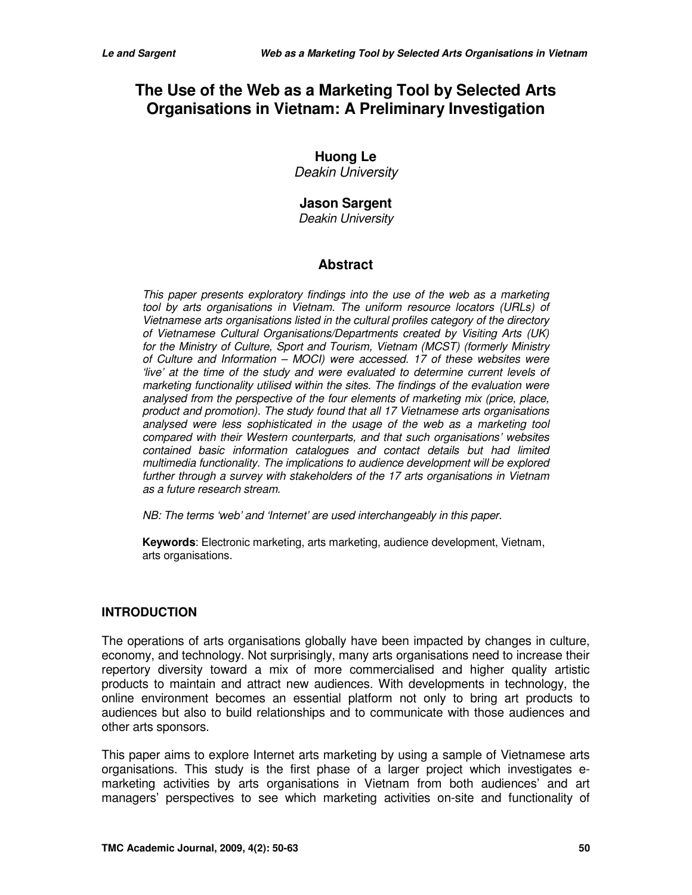# **The Use of the Web as a Marketing Tool by Selected Arts Organisations in Vietnam: A Preliminary Investigation**

# **Huong Le**

Deakin University

# **Jason Sargent**

Deakin University

### **Abstract**

This paper presents exploratory findings into the use of the web as a marketing tool by arts organisations in Vietnam. The uniform resource locators (URLs) of Vietnamese arts organisations listed in the cultural profiles category of the directory of Vietnamese Cultural Organisations/Departments created by Visiting Arts (UK) for the Ministry of Culture, Sport and Tourism, Vietnam (MCST) (formerly Ministry of Culture and Information – MOCI) were accessed. 17 of these websites were 'live' at the time of the study and were evaluated to determine current levels of marketing functionality utilised within the sites. The findings of the evaluation were analysed from the perspective of the four elements of marketing mix (price, place, product and promotion). The study found that all 17 Vietnamese arts organisations analysed were less sophisticated in the usage of the web as a marketing tool compared with their Western counterparts, and that such organisations' websites contained basic information catalogues and contact details but had limited multimedia functionality. The implications to audience development will be explored further through a survey with stakeholders of the 17 arts organisations in Vietnam as a future research stream.

NB: The terms 'web' and 'Internet' are used interchangeably in this paper.

**Keywords**: Electronic marketing, arts marketing, audience development, Vietnam, arts organisations.

#### **INTRODUCTION**

The operations of arts organisations globally have been impacted by changes in culture, economy, and technology. Not surprisingly, many arts organisations need to increase their repertory diversity toward a mix of more commercialised and higher quality artistic products to maintain and attract new audiences. With developments in technology, the online environment becomes an essential platform not only to bring art products to audiences but also to build relationships and to communicate with those audiences and other arts sponsors.

This paper aims to explore Internet arts marketing by using a sample of Vietnamese arts organisations. This study is the first phase of a larger project which investigates emarketing activities by arts organisations in Vietnam from both audiences' and art managers' perspectives to see which marketing activities on-site and functionality of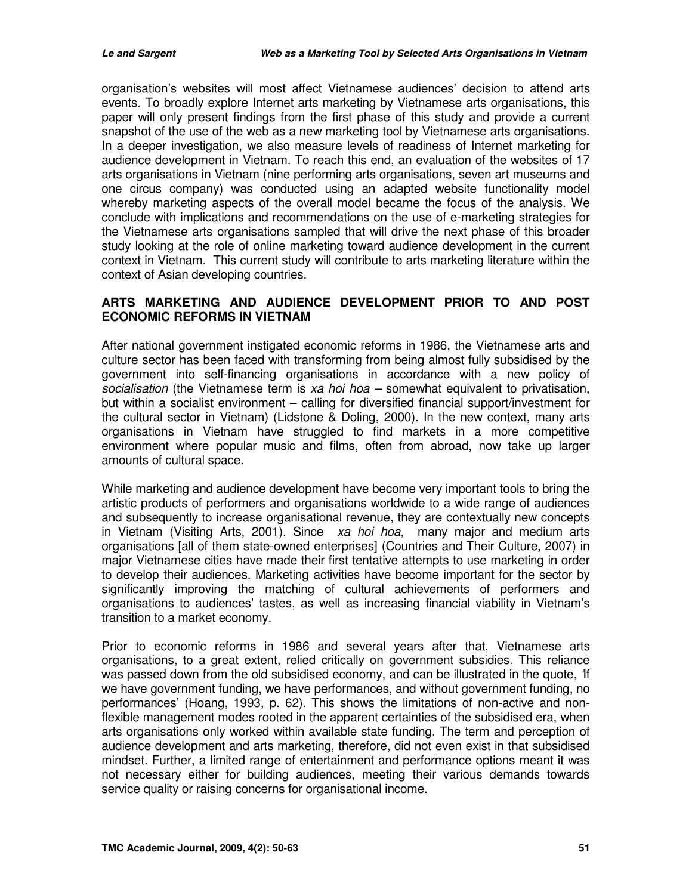organisation's websites will most affect Vietnamese audiences' decision to attend arts events. To broadly explore Internet arts marketing by Vietnamese arts organisations, this paper will only present findings from the first phase of this study and provide a current snapshot of the use of the web as a new marketing tool by Vietnamese arts organisations. In a deeper investigation, we also measure levels of readiness of Internet marketing for audience development in Vietnam. To reach this end, an evaluation of the websites of 17 arts organisations in Vietnam (nine performing arts organisations, seven art museums and one circus company) was conducted using an adapted website functionality model whereby marketing aspects of the overall model became the focus of the analysis. We conclude with implications and recommendations on the use of e-marketing strategies for the Vietnamese arts organisations sampled that will drive the next phase of this broader study looking at the role of online marketing toward audience development in the current context in Vietnam. This current study will contribute to arts marketing literature within the context of Asian developing countries.

#### **ARTS MARKETING AND AUDIENCE DEVELOPMENT PRIOR TO AND POST ECONOMIC REFORMS IN VIETNAM**

After national government instigated economic reforms in 1986, the Vietnamese arts and culture sector has been faced with transforming from being almost fully subsidised by the government into self-financing organisations in accordance with a new policy of socialisation (the Vietnamese term is xa hoi hoa – somewhat equivalent to privatisation, but within a socialist environment – calling for diversified financial support/investment for the cultural sector in Vietnam) (Lidstone & Doling, 2000). In the new context, many arts organisations in Vietnam have struggled to find markets in a more competitive environment where popular music and films, often from abroad, now take up larger amounts of cultural space.

While marketing and audience development have become very important tools to bring the artistic products of performers and organisations worldwide to a wide range of audiences and subsequently to increase organisational revenue, they are contextually new concepts in Vietnam (Visiting Arts, 2001). Since  $xa$  hoi hoa, many major and medium arts organisations [all of them state-owned enterprises] (Countries and Their Culture, 2007) in major Vietnamese cities have made their first tentative attempts to use marketing in order to develop their audiences. Marketing activities have become important for the sector by significantly improving the matching of cultural achievements of performers and organisations to audiences' tastes, as well as increasing financial viability in Vietnam's transition to a market economy.

Prior to economic reforms in 1986 and several years after that, Vietnamese arts organisations, to a great extent, relied critically on government subsidies. This reliance was passed down from the old subsidised economy, and can be illustrated in the quote, 'If we have government funding, we have performances, and without government funding, no performances' (Hoang, 1993, p. 62). This shows the limitations of non-active and nonflexible management modes rooted in the apparent certainties of the subsidised era, when arts organisations only worked within available state funding. The term and perception of audience development and arts marketing, therefore, did not even exist in that subsidised mindset. Further, a limited range of entertainment and performance options meant it was not necessary either for building audiences, meeting their various demands towards service quality or raising concerns for organisational income.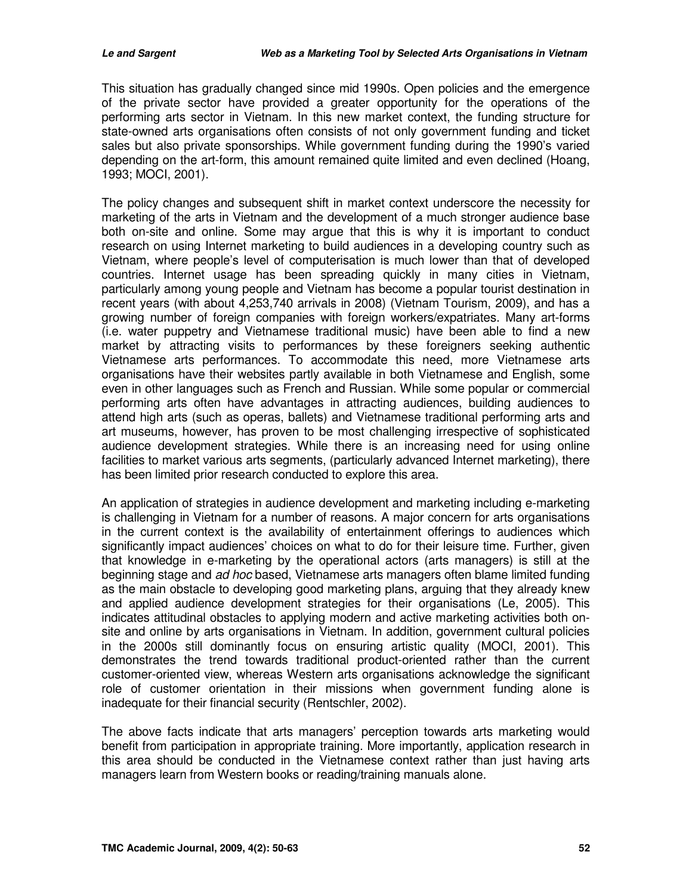This situation has gradually changed since mid 1990s. Open policies and the emergence of the private sector have provided a greater opportunity for the operations of the performing arts sector in Vietnam. In this new market context, the funding structure for state-owned arts organisations often consists of not only government funding and ticket sales but also private sponsorships. While government funding during the 1990's varied depending on the art-form, this amount remained quite limited and even declined (Hoang, 1993; MOCI, 2001).

The policy changes and subsequent shift in market context underscore the necessity for marketing of the arts in Vietnam and the development of a much stronger audience base both on-site and online. Some may argue that this is why it is important to conduct research on using Internet marketing to build audiences in a developing country such as Vietnam, where people's level of computerisation is much lower than that of developed countries. Internet usage has been spreading quickly in many cities in Vietnam, particularly among young people and Vietnam has become a popular tourist destination in recent years (with about 4,253,740 arrivals in 2008) (Vietnam Tourism, 2009), and has a growing number of foreign companies with foreign workers/expatriates. Many art-forms (i.e. water puppetry and Vietnamese traditional music) have been able to find a new market by attracting visits to performances by these foreigners seeking authentic Vietnamese arts performances. To accommodate this need, more Vietnamese arts organisations have their websites partly available in both Vietnamese and English, some even in other languages such as French and Russian. While some popular or commercial performing arts often have advantages in attracting audiences, building audiences to attend high arts (such as operas, ballets) and Vietnamese traditional performing arts and art museums, however, has proven to be most challenging irrespective of sophisticated audience development strategies. While there is an increasing need for using online facilities to market various arts segments, (particularly advanced Internet marketing), there has been limited prior research conducted to explore this area.

An application of strategies in audience development and marketing including e-marketing is challenging in Vietnam for a number of reasons. A major concern for arts organisations in the current context is the availability of entertainment offerings to audiences which significantly impact audiences' choices on what to do for their leisure time. Further, given that knowledge in e-marketing by the operational actors (arts managers) is still at the beginning stage and ad hoc based, Vietnamese arts managers often blame limited funding as the main obstacle to developing good marketing plans, arguing that they already knew and applied audience development strategies for their organisations (Le, 2005). This indicates attitudinal obstacles to applying modern and active marketing activities both onsite and online by arts organisations in Vietnam. In addition, government cultural policies in the 2000s still dominantly focus on ensuring artistic quality (MOCI, 2001). This demonstrates the trend towards traditional product-oriented rather than the current customer-oriented view, whereas Western arts organisations acknowledge the significant role of customer orientation in their missions when government funding alone is inadequate for their financial security (Rentschler, 2002).

The above facts indicate that arts managers' perception towards arts marketing would benefit from participation in appropriate training. More importantly, application research in this area should be conducted in the Vietnamese context rather than just having arts managers learn from Western books or reading/training manuals alone.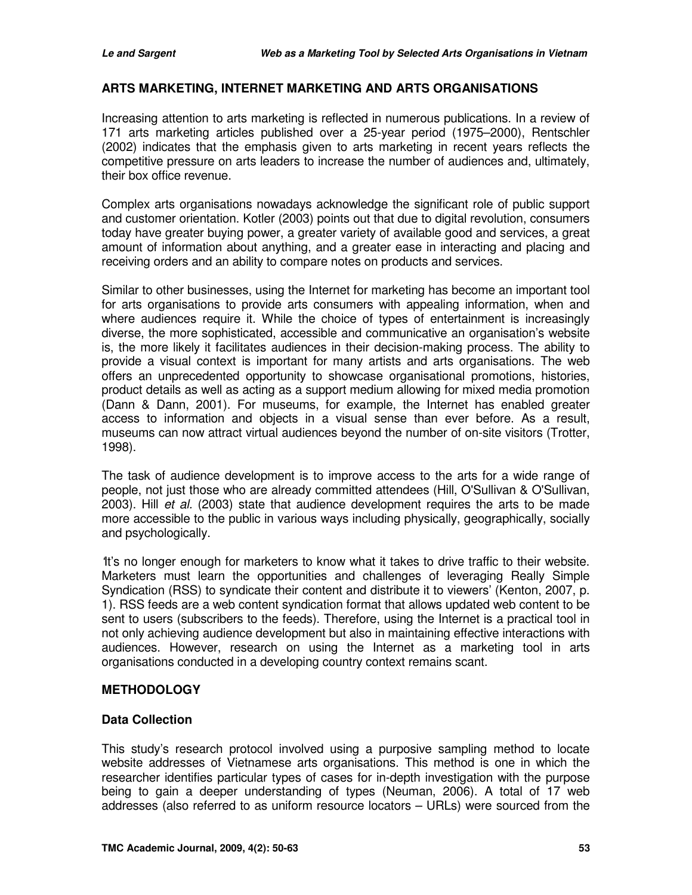#### **ARTS MARKETING, INTERNET MARKETING AND ARTS ORGANISATIONS**

Increasing attention to arts marketing is reflected in numerous publications. In a review of 171 arts marketing articles published over a 25-year period (1975–2000), Rentschler (2002) indicates that the emphasis given to arts marketing in recent years reflects the competitive pressure on arts leaders to increase the number of audiences and, ultimately, their box office revenue.

Complex arts organisations nowadays acknowledge the significant role of public support and customer orientation. Kotler (2003) points out that due to digital revolution, consumers today have greater buying power, a greater variety of available good and services, a great amount of information about anything, and a greater ease in interacting and placing and receiving orders and an ability to compare notes on products and services.

Similar to other businesses, using the Internet for marketing has become an important tool for arts organisations to provide arts consumers with appealing information, when and where audiences require it. While the choice of types of entertainment is increasingly diverse, the more sophisticated, accessible and communicative an organisation's website is, the more likely it facilitates audiences in their decision-making process. The ability to provide a visual context is important for many artists and arts organisations. The web offers an unprecedented opportunity to showcase organisational promotions, histories, product details as well as acting as a support medium allowing for mixed media promotion (Dann & Dann, 2001). For museums, for example, the Internet has enabled greater access to information and objects in a visual sense than ever before. As a result, museums can now attract virtual audiences beyond the number of on-site visitors (Trotter, 1998).

The task of audience development is to improve access to the arts for a wide range of people, not just those who are already committed attendees (Hill, O'Sullivan & O'Sullivan, 2003). Hill *et al.* (2003) state that audience development requires the arts to be made more accessible to the public in various ways including physically, geographically, socially and psychologically.

'It's no longer enough for marketers to know what it takes to drive traffic to their website. Marketers must learn the opportunities and challenges of leveraging Really Simple Syndication (RSS) to syndicate their content and distribute it to viewers' (Kenton, 2007, p. 1). RSS feeds are a web content syndication format that allows updated web content to be sent to users (subscribers to the feeds). Therefore, using the Internet is a practical tool in not only achieving audience development but also in maintaining effective interactions with audiences. However, research on using the Internet as a marketing tool in arts organisations conducted in a developing country context remains scant.

#### **METHODOLOGY**

#### **Data Collection**

This study's research protocol involved using a purposive sampling method to locate website addresses of Vietnamese arts organisations. This method is one in which the researcher identifies particular types of cases for in-depth investigation with the purpose being to gain a deeper understanding of types (Neuman, 2006). A total of 17 web addresses (also referred to as uniform resource locators – URLs) were sourced from the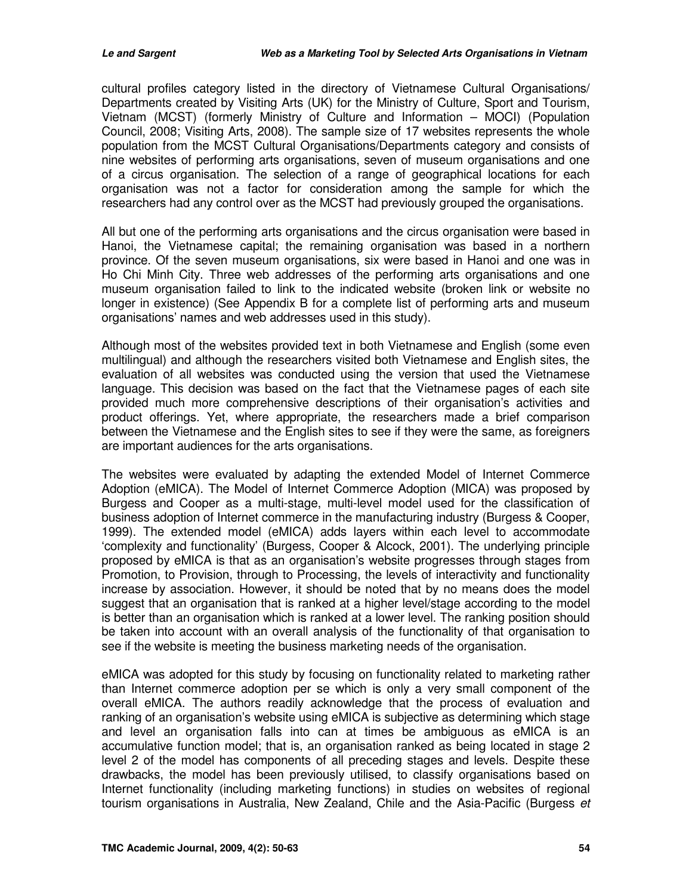cultural profiles category listed in the directory of Vietnamese Cultural Organisations/ Departments created by Visiting Arts (UK) for the Ministry of Culture, Sport and Tourism, Vietnam (MCST) (formerly Ministry of Culture and Information – MOCI) (Population Council, 2008; Visiting Arts, 2008). The sample size of 17 websites represents the whole population from the MCST Cultural Organisations/Departments category and consists of nine websites of performing arts organisations, seven of museum organisations and one of a circus organisation. The selection of a range of geographical locations for each organisation was not a factor for consideration among the sample for which the researchers had any control over as the MCST had previously grouped the organisations.

All but one of the performing arts organisations and the circus organisation were based in Hanoi, the Vietnamese capital; the remaining organisation was based in a northern province. Of the seven museum organisations, six were based in Hanoi and one was in Ho Chi Minh City. Three web addresses of the performing arts organisations and one museum organisation failed to link to the indicated website (broken link or website no longer in existence) (See Appendix B for a complete list of performing arts and museum organisations' names and web addresses used in this study).

Although most of the websites provided text in both Vietnamese and English (some even multilingual) and although the researchers visited both Vietnamese and English sites, the evaluation of all websites was conducted using the version that used the Vietnamese language. This decision was based on the fact that the Vietnamese pages of each site provided much more comprehensive descriptions of their organisation's activities and product offerings. Yet, where appropriate, the researchers made a brief comparison between the Vietnamese and the English sites to see if they were the same, as foreigners are important audiences for the arts organisations.

The websites were evaluated by adapting the extended Model of Internet Commerce Adoption (eMICA). The Model of Internet Commerce Adoption (MICA) was proposed by Burgess and Cooper as a multi-stage, multi-level model used for the classification of business adoption of Internet commerce in the manufacturing industry (Burgess & Cooper, 1999). The extended model (eMICA) adds layers within each level to accommodate 'complexity and functionality' (Burgess, Cooper & Alcock, 2001). The underlying principle proposed by eMICA is that as an organisation's website progresses through stages from Promotion, to Provision, through to Processing, the levels of interactivity and functionality increase by association. However, it should be noted that by no means does the model suggest that an organisation that is ranked at a higher level/stage according to the model is better than an organisation which is ranked at a lower level. The ranking position should be taken into account with an overall analysis of the functionality of that organisation to see if the website is meeting the business marketing needs of the organisation.

eMICA was adopted for this study by focusing on functionality related to marketing rather than Internet commerce adoption per se which is only a very small component of the overall eMICA. The authors readily acknowledge that the process of evaluation and ranking of an organisation's website using eMICA is subjective as determining which stage and level an organisation falls into can at times be ambiguous as eMICA is an accumulative function model; that is, an organisation ranked as being located in stage 2 level 2 of the model has components of all preceding stages and levels. Despite these drawbacks, the model has been previously utilised, to classify organisations based on Internet functionality (including marketing functions) in studies on websites of regional tourism organisations in Australia, New Zealand, Chile and the Asia-Pacific (Burgess et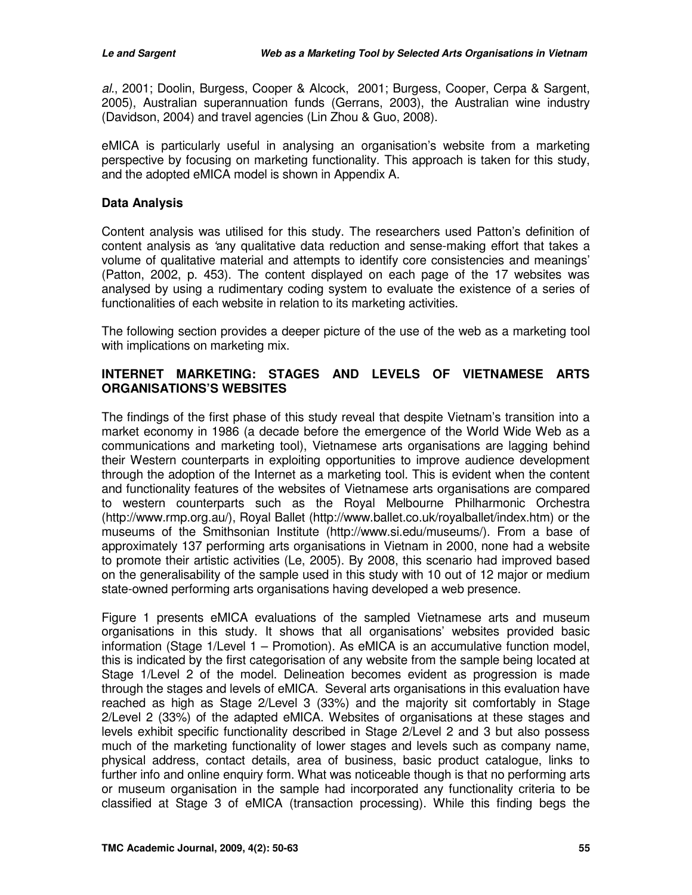al., 2001; Doolin, Burgess, Cooper & Alcock, 2001; Burgess, Cooper, Cerpa & Sargent, 2005), Australian superannuation funds (Gerrans, 2003), the Australian wine industry (Davidson, 2004) and travel agencies (Lin Zhou & Guo, 2008).

eMICA is particularly useful in analysing an organisation's website from a marketing perspective by focusing on marketing functionality. This approach is taken for this study, and the adopted eMICA model is shown in Appendix A.

#### **Data Analysis**

Content analysis was utilised for this study. The researchers used Patton's definition of content analysis as 'any qualitative data reduction and sense-making effort that takes a volume of qualitative material and attempts to identify core consistencies and meanings' (Patton, 2002, p. 453). The content displayed on each page of the 17 websites was analysed by using a rudimentary coding system to evaluate the existence of a series of functionalities of each website in relation to its marketing activities.

The following section provides a deeper picture of the use of the web as a marketing tool with implications on marketing mix.

#### **INTERNET MARKETING: STAGES AND LEVELS OF VIETNAMESE ARTS ORGANISATIONS'S WEBSITES**

The findings of the first phase of this study reveal that despite Vietnam's transition into a market economy in 1986 (a decade before the emergence of the World Wide Web as a communications and marketing tool), Vietnamese arts organisations are lagging behind their Western counterparts in exploiting opportunities to improve audience development through the adoption of the Internet as a marketing tool. This is evident when the content and functionality features of the websites of Vietnamese arts organisations are compared to western counterparts such as the Royal Melbourne Philharmonic Orchestra (http://www.rmp.org.au/), Royal Ballet (http://www.ballet.co.uk/royalballet/index.htm) or the museums of the Smithsonian Institute (http://www.si.edu/museums/). From a base of approximately 137 performing arts organisations in Vietnam in 2000, none had a website to promote their artistic activities (Le, 2005). By 2008, this scenario had improved based on the generalisability of the sample used in this study with 10 out of 12 major or medium state-owned performing arts organisations having developed a web presence.

Figure 1 presents eMICA evaluations of the sampled Vietnamese arts and museum organisations in this study. It shows that all organisations' websites provided basic information (Stage 1/Level 1 – Promotion). As eMICA is an accumulative function model, this is indicated by the first categorisation of any website from the sample being located at Stage 1/Level 2 of the model. Delineation becomes evident as progression is made through the stages and levels of eMICA. Several arts organisations in this evaluation have reached as high as Stage 2/Level 3 (33%) and the majority sit comfortably in Stage 2/Level 2 (33%) of the adapted eMICA. Websites of organisations at these stages and levels exhibit specific functionality described in Stage 2/Level 2 and 3 but also possess much of the marketing functionality of lower stages and levels such as company name, physical address, contact details, area of business, basic product catalogue, links to further info and online enquiry form. What was noticeable though is that no performing arts or museum organisation in the sample had incorporated any functionality criteria to be classified at Stage 3 of eMICA (transaction processing). While this finding begs the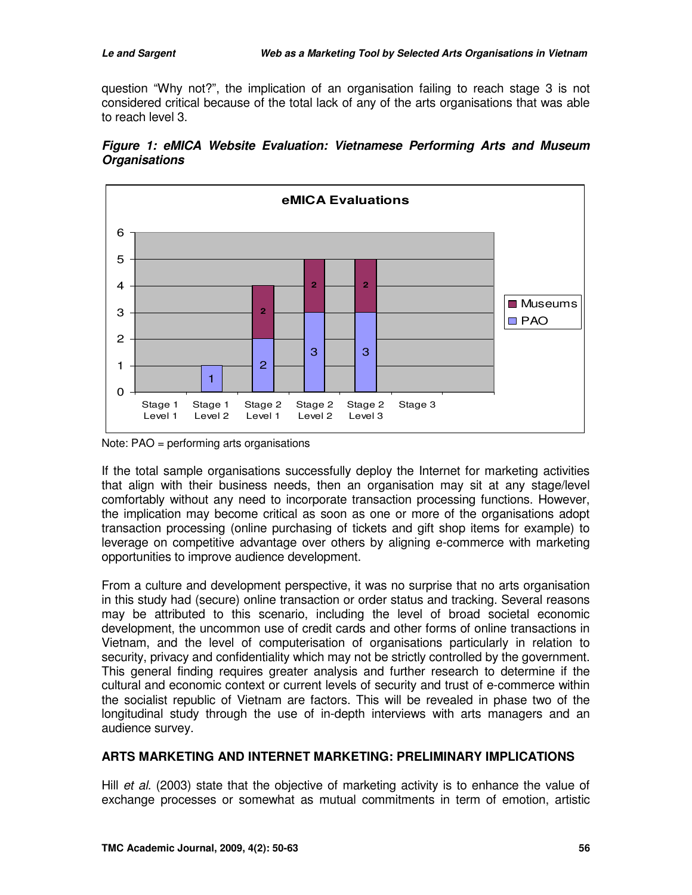question "Why not?", the implication of an organisation failing to reach stage 3 is not considered critical because of the total lack of any of the arts organisations that was able to reach level 3.



**Figure 1: eMICA Website Evaluation: Vietnamese Performing Arts and Museum Organisations** 

If the total sample organisations successfully deploy the Internet for marketing activities that align with their business needs, then an organisation may sit at any stage/level comfortably without any need to incorporate transaction processing functions. However, the implication may become critical as soon as one or more of the organisations adopt transaction processing (online purchasing of tickets and gift shop items for example) to leverage on competitive advantage over others by aligning e-commerce with marketing opportunities to improve audience development.

From a culture and development perspective, it was no surprise that no arts organisation in this study had (secure) online transaction or order status and tracking. Several reasons may be attributed to this scenario, including the level of broad societal economic development, the uncommon use of credit cards and other forms of online transactions in Vietnam, and the level of computerisation of organisations particularly in relation to security, privacy and confidentiality which may not be strictly controlled by the government. This general finding requires greater analysis and further research to determine if the cultural and economic context or current levels of security and trust of e-commerce within the socialist republic of Vietnam are factors. This will be revealed in phase two of the longitudinal study through the use of in-depth interviews with arts managers and an audience survey.

#### **ARTS MARKETING AND INTERNET MARKETING: PRELIMINARY IMPLICATIONS**

Hill *et al.* (2003) state that the objective of marketing activity is to enhance the value of exchange processes or somewhat as mutual commitments in term of emotion, artistic

Note: PAO = performing arts organisations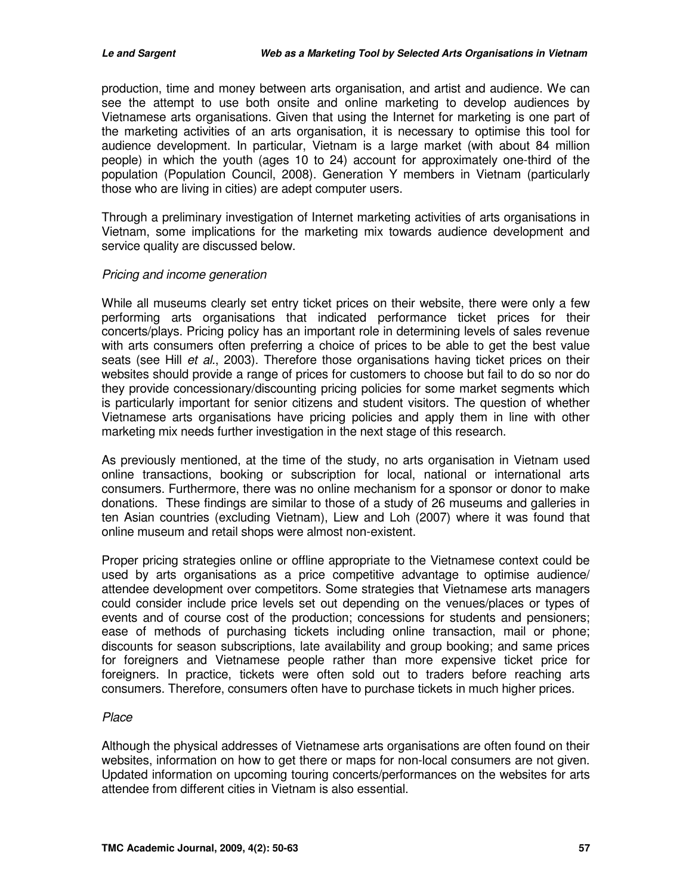production, time and money between arts organisation, and artist and audience. We can see the attempt to use both onsite and online marketing to develop audiences by Vietnamese arts organisations. Given that using the Internet for marketing is one part of the marketing activities of an arts organisation, it is necessary to optimise this tool for audience development. In particular, Vietnam is a large market (with about 84 million people) in which the youth (ages 10 to 24) account for approximately one-third of the population (Population Council, 2008). Generation Y members in Vietnam (particularly those who are living in cities) are adept computer users.

Through a preliminary investigation of Internet marketing activities of arts organisations in Vietnam, some implications for the marketing mix towards audience development and service quality are discussed below.

#### Pricing and income generation

While all museums clearly set entry ticket prices on their website, there were only a few performing arts organisations that indicated performance ticket prices for their concerts/plays. Pricing policy has an important role in determining levels of sales revenue with arts consumers often preferring a choice of prices to be able to get the best value seats (see Hill *et al.*, 2003). Therefore those organisations having ticket prices on their websites should provide a range of prices for customers to choose but fail to do so nor do they provide concessionary/discounting pricing policies for some market segments which is particularly important for senior citizens and student visitors. The question of whether Vietnamese arts organisations have pricing policies and apply them in line with other marketing mix needs further investigation in the next stage of this research.

As previously mentioned, at the time of the study, no arts organisation in Vietnam used online transactions, booking or subscription for local, national or international arts consumers. Furthermore, there was no online mechanism for a sponsor or donor to make donations. These findings are similar to those of a study of 26 museums and galleries in ten Asian countries (excluding Vietnam), Liew and Loh (2007) where it was found that online museum and retail shops were almost non-existent.

Proper pricing strategies online or offline appropriate to the Vietnamese context could be used by arts organisations as a price competitive advantage to optimise audience/ attendee development over competitors. Some strategies that Vietnamese arts managers could consider include price levels set out depending on the venues/places or types of events and of course cost of the production; concessions for students and pensioners; ease of methods of purchasing tickets including online transaction, mail or phone; discounts for season subscriptions, late availability and group booking; and same prices for foreigners and Vietnamese people rather than more expensive ticket price for foreigners. In practice, tickets were often sold out to traders before reaching arts consumers. Therefore, consumers often have to purchase tickets in much higher prices.

#### Place

Although the physical addresses of Vietnamese arts organisations are often found on their websites, information on how to get there or maps for non-local consumers are not given. Updated information on upcoming touring concerts/performances on the websites for arts attendee from different cities in Vietnam is also essential.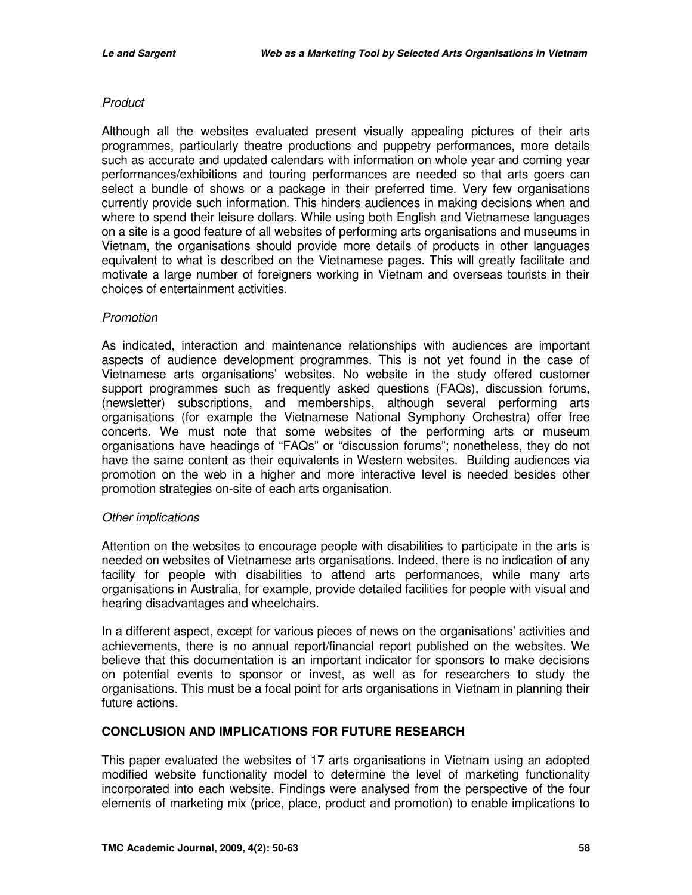#### **Product**

Although all the websites evaluated present visually appealing pictures of their arts programmes, particularly theatre productions and puppetry performances, more details such as accurate and updated calendars with information on whole year and coming year performances/exhibitions and touring performances are needed so that arts goers can select a bundle of shows or a package in their preferred time. Very few organisations currently provide such information. This hinders audiences in making decisions when and where to spend their leisure dollars. While using both English and Vietnamese languages on a site is a good feature of all websites of performing arts organisations and museums in Vietnam, the organisations should provide more details of products in other languages equivalent to what is described on the Vietnamese pages. This will greatly facilitate and motivate a large number of foreigners working in Vietnam and overseas tourists in their choices of entertainment activities.

#### Promotion

As indicated, interaction and maintenance relationships with audiences are important aspects of audience development programmes. This is not yet found in the case of Vietnamese arts organisations' websites. No website in the study offered customer support programmes such as frequently asked questions (FAQs), discussion forums, (newsletter) subscriptions, and memberships, although several performing arts organisations (for example the Vietnamese National Symphony Orchestra) offer free concerts. We must note that some websites of the performing arts or museum organisations have headings of "FAQs" or "discussion forums"; nonetheless, they do not have the same content as their equivalents in Western websites. Building audiences via promotion on the web in a higher and more interactive level is needed besides other promotion strategies on-site of each arts organisation.

#### Other implications

Attention on the websites to encourage people with disabilities to participate in the arts is needed on websites of Vietnamese arts organisations. Indeed, there is no indication of any facility for people with disabilities to attend arts performances, while many arts organisations in Australia, for example, provide detailed facilities for people with visual and hearing disadvantages and wheelchairs.

In a different aspect, except for various pieces of news on the organisations' activities and achievements, there is no annual report/financial report published on the websites. We believe that this documentation is an important indicator for sponsors to make decisions on potential events to sponsor or invest, as well as for researchers to study the organisations. This must be a focal point for arts organisations in Vietnam in planning their future actions.

#### **CONCLUSION AND IMPLICATIONS FOR FUTURE RESEARCH**

This paper evaluated the websites of 17 arts organisations in Vietnam using an adopted modified website functionality model to determine the level of marketing functionality incorporated into each website. Findings were analysed from the perspective of the four elements of marketing mix (price, place, product and promotion) to enable implications to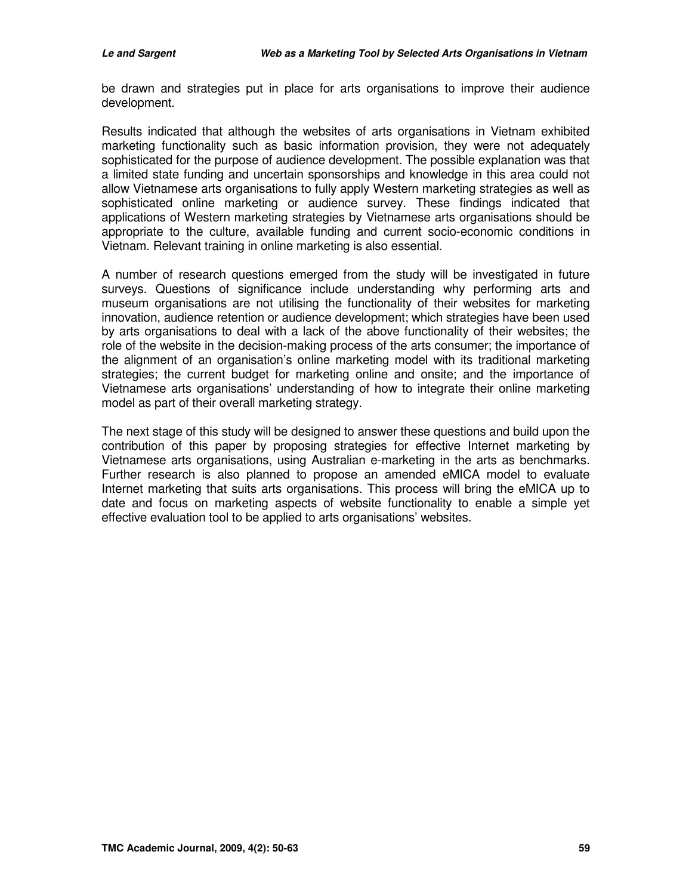be drawn and strategies put in place for arts organisations to improve their audience development.

Results indicated that although the websites of arts organisations in Vietnam exhibited marketing functionality such as basic information provision, they were not adequately sophisticated for the purpose of audience development. The possible explanation was that a limited state funding and uncertain sponsorships and knowledge in this area could not allow Vietnamese arts organisations to fully apply Western marketing strategies as well as sophisticated online marketing or audience survey. These findings indicated that applications of Western marketing strategies by Vietnamese arts organisations should be appropriate to the culture, available funding and current socio-economic conditions in Vietnam. Relevant training in online marketing is also essential.

A number of research questions emerged from the study will be investigated in future surveys. Questions of significance include understanding why performing arts and museum organisations are not utilising the functionality of their websites for marketing innovation, audience retention or audience development; which strategies have been used by arts organisations to deal with a lack of the above functionality of their websites; the role of the website in the decision-making process of the arts consumer; the importance of the alignment of an organisation's online marketing model with its traditional marketing strategies; the current budget for marketing online and onsite; and the importance of Vietnamese arts organisations' understanding of how to integrate their online marketing model as part of their overall marketing strategy.

The next stage of this study will be designed to answer these questions and build upon the contribution of this paper by proposing strategies for effective Internet marketing by Vietnamese arts organisations, using Australian e-marketing in the arts as benchmarks. Further research is also planned to propose an amended eMICA model to evaluate Internet marketing that suits arts organisations. This process will bring the eMICA up to date and focus on marketing aspects of website functionality to enable a simple yet effective evaluation tool to be applied to arts organisations' websites.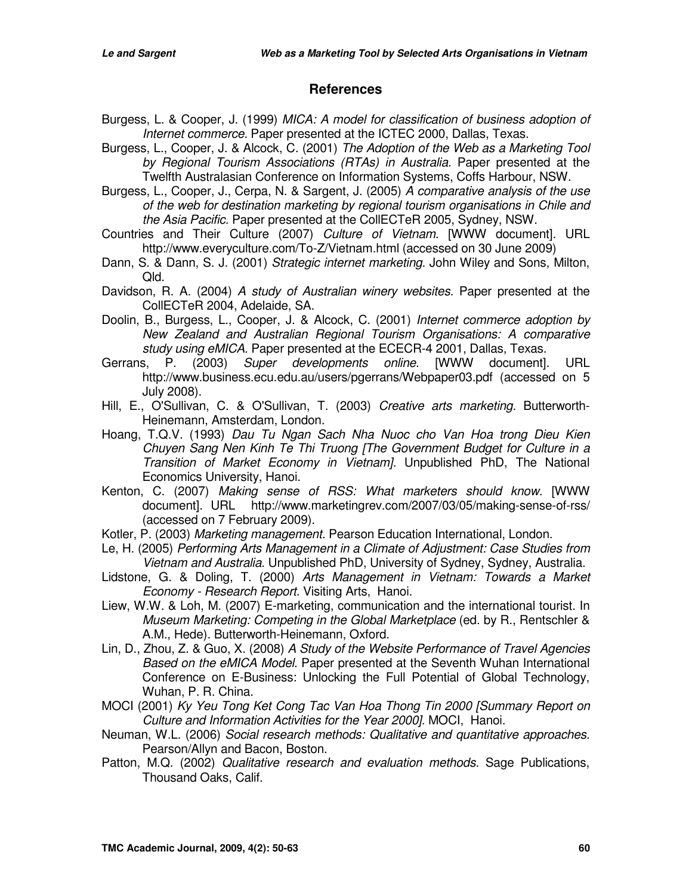#### **References**

- Burgess, L. & Cooper, J. (1999) MICA: A model for classification of business adoption of Internet commerce. Paper presented at the ICTEC 2000, Dallas, Texas.
- Burgess, L., Cooper, J. & Alcock, C. (2001) The Adoption of the Web as a Marketing Tool by Regional Tourism Associations (RTAs) in Australia. Paper presented at the Twelfth Australasian Conference on Information Systems, Coffs Harbour, NSW.
- Burgess, L., Cooper, J., Cerpa, N. & Sargent, J. (2005) A comparative analysis of the use of the web for destination marketing by regional tourism organisations in Chile and the Asia Pacific. Paper presented at the CollECTeR 2005, Sydney, NSW.
- Countries and Their Culture (2007) Culture of Vietnam. [WWW document]. URL http://www.everyculture.com/To-Z/Vietnam.html (accessed on 30 June 2009)
- Dann, S. & Dann, S. J. (2001) Strategic internet marketing. John Wiley and Sons, Milton, Qld.
- Davidson, R. A. (2004) A study of Australian winery websites. Paper presented at the CollECTeR 2004, Adelaide, SA.
- Doolin, B., Burgess, L., Cooper, J. & Alcock, C. (2001) Internet commerce adoption by New Zealand and Australian Regional Tourism Organisations: A comparative study using eMICA. Paper presented at the ECECR-4 2001, Dallas, Texas.
- Gerrans, P. (2003) Super developments online. [WWW document]. URL http://www.business.ecu.edu.au/users/pgerrans/Webpaper03.pdf (accessed on 5 July 2008).
- Hill, E., O'Sullivan, C. & O'Sullivan, T. (2003) Creative arts marketing. Butterworth-Heinemann, Amsterdam, London.
- Hoang, T.Q.V. (1993) Dau Tu Ngan Sach Nha Nuoc cho Van Hoa trong Dieu Kien Chuyen Sang Nen Kinh Te Thi Truong [The Government Budget for Culture in a Transition of Market Economy in Vietnam]. Unpublished PhD, The National Economics University, Hanoi.
- Kenton, C. (2007) Making sense of RSS: What marketers should know. [WWW document]. URL http://www.marketingrev.com/2007/03/05/making-sense-of-rss/ (accessed on 7 February 2009).
- Kotler, P. (2003) Marketing management. Pearson Education International, London.
- Le, H. (2005) Performing Arts Management in a Climate of Adjustment: Case Studies from Vietnam and Australia. Unpublished PhD, University of Sydney, Sydney, Australia.
- Lidstone, G. & Doling, T. (2000) Arts Management in Vietnam: Towards a Market Economy - Research Report. Visiting Arts, Hanoi.
- Liew, W.W. & Loh, M. (2007) E-marketing, communication and the international tourist. In Museum Marketing: Competing in the Global Marketplace (ed. by R., Rentschler & A.M., Hede). Butterworth-Heinemann, Oxford.
- Lin, D., Zhou, Z. & Guo, X. (2008) A Study of the Website Performance of Travel Agencies Based on the eMICA Model. Paper presented at the Seventh Wuhan International Conference on E-Business: Unlocking the Full Potential of Global Technology, Wuhan, P. R. China.
- MOCI (2001) Ky Yeu Tong Ket Cong Tac Van Hoa Thong Tin 2000 [Summary Report on Culture and Information Activities for the Year 2000]. MOCI, Hanoi.
- Neuman, W.L. (2006) Social research methods: Qualitative and quantitative approaches. Pearson/Allyn and Bacon, Boston.
- Patton, M.Q. (2002) Qualitative research and evaluation methods. Sage Publications, Thousand Oaks, Calif.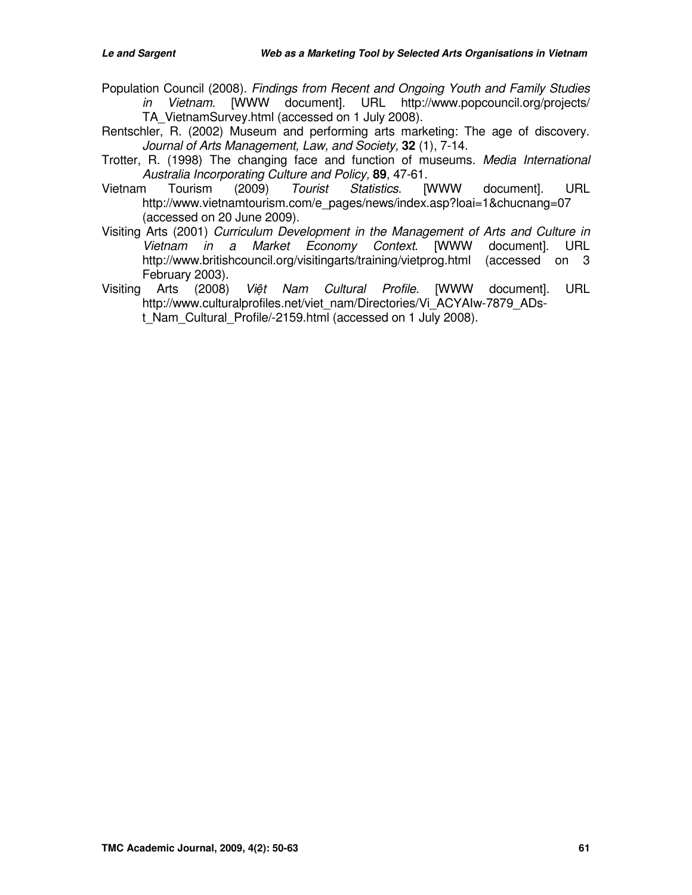- Population Council (2008). Findings from Recent and Ongoing Youth and Family Studies in Vietnam. [WWW document]. URL http://www.popcouncil.org/projects/ TA\_VietnamSurvey.html (accessed on 1 July 2008).
- Rentschler, R. (2002) Museum and performing arts marketing: The age of discovery. Journal of Arts Management, Law, and Society, **32** (1), 7-14.
- Trotter, R. (1998) The changing face and function of museums. Media International Australia Incorporating Culture and Policy, **89**, 47-61.
- Vietnam Tourism (2009) Tourist Statistics. [WWW document]. URL http://www.vietnamtourism.com/e\_pages/news/index.asp?loai=1&chucnang=07 (accessed on 20 June 2009).
- Visiting Arts (2001) Curriculum Development in the Management of Arts and Culture in Vietnam in a Market Economy Context. [WWW document]. URL http://www.britishcouncil.org/visitingarts/training/vietprog.html (accessed on 3 February 2003).
- Visiting Arts (2008) Việt Nam Cultural Profile. [WWW document]. URL http://www.culturalprofiles.net/viet\_nam/Directories/Vi\_ACYAIw-7879\_ADst Nam Cultural Profile/-2159.html (accessed on 1 July 2008).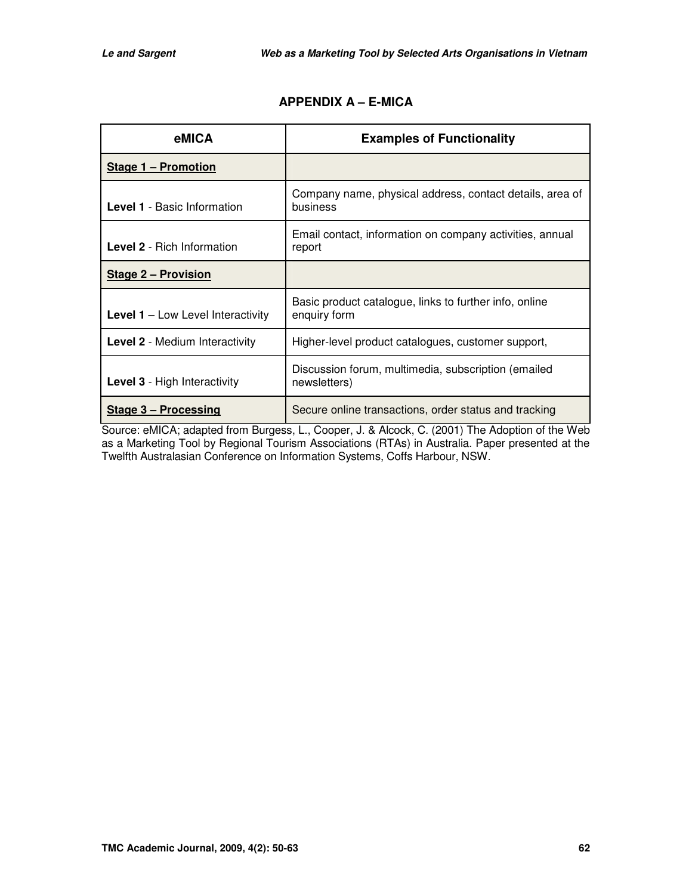| eMICA                                      | <b>Examples of Functionality</b>                                       |  |  |
|--------------------------------------------|------------------------------------------------------------------------|--|--|
| <b>Stage 1 - Promotion</b>                 |                                                                        |  |  |
| <b>Level 1</b> - Basic Information         | Company name, physical address, contact details, area of<br>business   |  |  |
| <b>Level 2 - Rich Information</b>          | Email contact, information on company activities, annual<br>report     |  |  |
| <b>Stage 2 - Provision</b>                 |                                                                        |  |  |
| <b>Level 1</b> $-$ Low Level Interactivity | Basic product catalogue, links to further info, online<br>enquiry form |  |  |
| <b>Level 2 - Medium Interactivity</b>      | Higher-level product catalogues, customer support,                     |  |  |
| <b>Level 3 - High Interactivity</b>        | Discussion forum, multimedia, subscription (emailed<br>newsletters)    |  |  |
| Stage 3 – Processing                       | Secure online transactions, order status and tracking                  |  |  |

# **APPENDIX A – E-MICA**

Source: eMICA; adapted from Burgess, L., Cooper, J. & Alcock, C. (2001) The Adoption of the Web as a Marketing Tool by Regional Tourism Associations (RTAs) in Australia. Paper presented at the Twelfth Australasian Conference on Information Systems, Coffs Harbour, NSW.